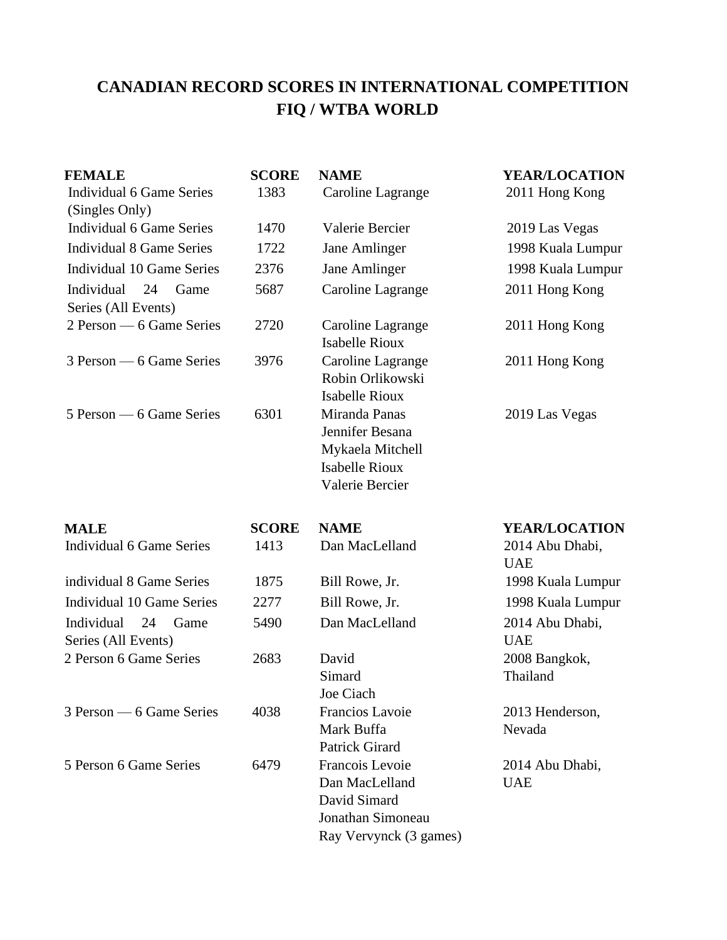#### **CANADIAN RECORD SCORES IN INTERNATIONAL COMPETITION FIQ / WTBA WORLD**

| <b>FEMALE</b><br>Individual 6 Game Series<br>(Singles Only) | <b>SCORE</b><br>1383 | <b>NAME</b><br>Caroline Lagrange                                                                 | <b>YEAR/LOCATION</b><br>2011 Hong Kong |
|-------------------------------------------------------------|----------------------|--------------------------------------------------------------------------------------------------|----------------------------------------|
| <b>Individual 6 Game Series</b>                             | 1470                 | Valerie Bercier                                                                                  | 2019 Las Vegas                         |
| <b>Individual 8 Game Series</b>                             | 1722                 | Jane Amlinger                                                                                    | 1998 Kuala Lumpur                      |
| <b>Individual 10 Game Series</b>                            | 2376                 | Jane Amlinger                                                                                    | 1998 Kuala Lumpur                      |
| Individual<br>24<br>Game<br>Series (All Events)             | 5687                 | Caroline Lagrange                                                                                | 2011 Hong Kong                         |
| 2 Person — 6 Game Series                                    | 2720                 | Caroline Lagrange<br><b>Isabelle Rioux</b>                                                       | 2011 Hong Kong                         |
| 3 Person — 6 Game Series                                    | 3976                 | Caroline Lagrange<br>Robin Orlikowski<br><b>Isabelle Rioux</b>                                   | 2011 Hong Kong                         |
| 5 Person — 6 Game Series                                    | 6301                 | Miranda Panas<br>Jennifer Besana<br>Mykaela Mitchell<br><b>Isabelle Rioux</b><br>Valerie Bercier | 2019 Las Vegas                         |
| <b>MALE</b>                                                 | <b>SCORE</b>         | <b>NAME</b>                                                                                      | <b>YEAR/LOCATION</b>                   |
| <b>Individual 6 Game Series</b>                             | 1413                 | Dan MacLelland                                                                                   | 2014 Abu Dhabi,<br><b>UAE</b>          |
| individual 8 Game Series                                    | 1875                 | Bill Rowe, Jr.                                                                                   | 1998 Kuala Lumpur                      |
| <b>Individual 10 Game Series</b>                            | 2277                 | Bill Rowe, Jr.                                                                                   | 1998 Kuala Lumpur                      |
| Individual<br>24<br>Game<br>Series (All Events)             | 5490                 | Dan MacLelland                                                                                   | 2014 Abu Dhabi,<br><b>UAE</b>          |
| 2 Person 6 Game Series                                      | 2683                 | David<br>Simard<br>Joe Ciach                                                                     | 2008 Bangkok,<br>Thailand              |
| 3 Person — 6 Game Series                                    | 4038                 | Francios Lavoie<br>Mark Buffa<br><b>Patrick Girard</b>                                           | 2013 Henderson,<br>Nevada              |
| 5 Person 6 Game Series                                      | 6479                 | Francois Levoie<br>Dan MacLelland<br>David Simard<br>Jonathan Simoneau<br>Ray Vervynck (3 games) | 2014 Abu Dhabi,<br><b>UAE</b>          |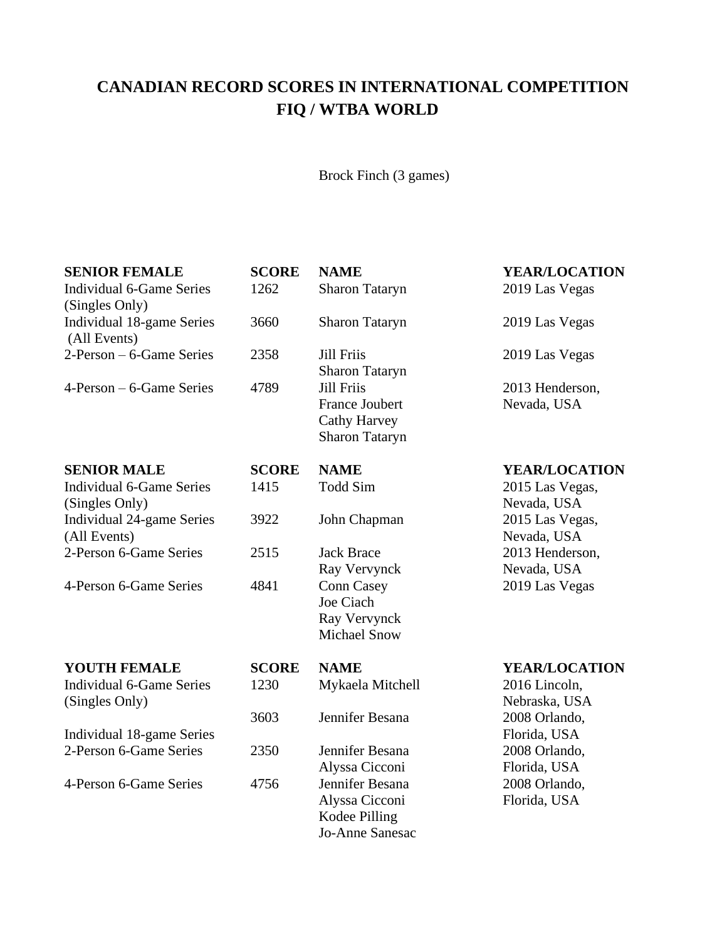# **CANADIAN RECORD SCORES IN INTERNATIONAL COMPETITION FIQ / WTBA WORLD**

Brock Finch (3 games)

| <b>SENIOR FEMALE</b><br><b>Individual 6-Game Series</b><br>(Singles Only) | <b>SCORE</b><br>1262 | <b>NAME</b><br><b>Sharon Tataryn</b>                                                | YEAR/LOCATION<br>2019 Las Vegas |
|---------------------------------------------------------------------------|----------------------|-------------------------------------------------------------------------------------|---------------------------------|
| Individual 18-game Series<br>(All Events)                                 | 3660                 | <b>Sharon Tataryn</b>                                                               | 2019 Las Vegas                  |
| 2-Person – 6-Game Series                                                  | 2358                 | <b>Jill Friis</b><br><b>Sharon Tataryn</b>                                          | 2019 Las Vegas                  |
| $4$ -Person – 6-Game Series                                               | 4789                 | <b>Jill Friis</b><br><b>France Joubert</b><br>Cathy Harvey<br><b>Sharon Tataryn</b> | 2013 Henderson,<br>Nevada, USA  |
| <b>SENIOR MALE</b>                                                        | <b>SCORE</b>         | <b>NAME</b>                                                                         | <b>YEAR/LOCATION</b>            |
| <b>Individual 6-Game Series</b><br>(Singles Only)                         | 1415                 | <b>Todd Sim</b>                                                                     | 2015 Las Vegas,<br>Nevada, USA  |
| Individual 24-game Series<br>(All Events)                                 | 3922                 | John Chapman                                                                        | 2015 Las Vegas,<br>Nevada, USA  |
| 2-Person 6-Game Series                                                    | 2515                 | <b>Jack Brace</b><br>Ray Vervynck                                                   | 2013 Henderson,<br>Nevada, USA  |
| 4-Person 6-Game Series                                                    | 4841                 | <b>Conn Casey</b><br>Joe Ciach<br>Ray Vervynck<br><b>Michael Snow</b>               | 2019 Las Vegas                  |
| <b>YOUTH FEMALE</b>                                                       | <b>SCORE</b>         | <b>NAME</b>                                                                         | <b>YEAR/LOCATION</b>            |
| <b>Individual 6-Game Series</b><br>(Singles Only)                         | 1230                 | Mykaela Mitchell                                                                    | 2016 Lincoln,<br>Nebraska, USA  |
|                                                                           | 3603                 | Jennifer Besana                                                                     | 2008 Orlando,                   |
| Individual 18-game Series                                                 |                      |                                                                                     | Florida, USA                    |
| 2-Person 6-Game Series                                                    | 2350                 | Jennifer Besana<br>Alyssa Cicconi                                                   | 2008 Orlando,<br>Florida, USA   |
| 4-Person 6-Game Series                                                    | 4756                 | Jennifer Besana<br>Alyssa Cicconi<br>Kodee Pilling<br>Jo-Anne Sanesac               | 2008 Orlando,<br>Florida, USA   |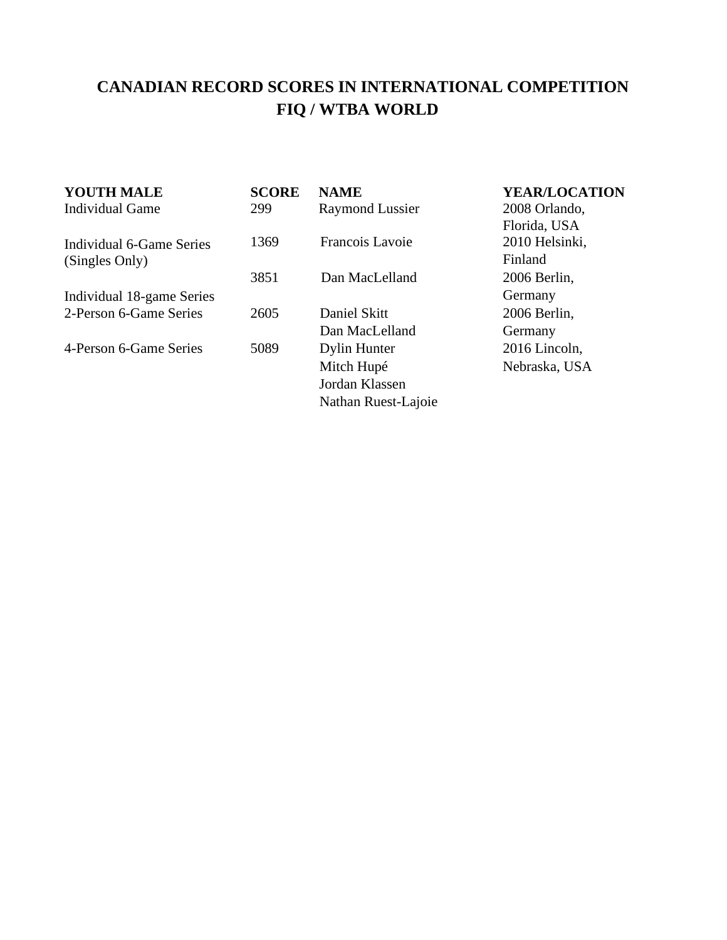## **CANADIAN RECORD SCORES IN INTERNATIONAL COMPETITION FIQ / WTBA WORLD**

| YOUTH MALE                | <b>SCORE</b> | <b>NAME</b>            | <b>YEAR/LOCATION</b> |
|---------------------------|--------------|------------------------|----------------------|
| <b>Individual Game</b>    | 299          | <b>Raymond Lussier</b> | 2008 Orlando,        |
|                           |              |                        | Florida, USA         |
| Individual 6-Game Series  | 1369         | Francois Lavoie        | 2010 Helsinki,       |
| (Singles Only)            |              |                        | Finland              |
|                           | 3851         | Dan MacLelland         | 2006 Berlin,         |
| Individual 18-game Series |              |                        | Germany              |
| 2-Person 6-Game Series    | 2605         | Daniel Skitt           | 2006 Berlin,         |
|                           |              | Dan MacLelland         | Germany              |
| 4-Person 6-Game Series    | 5089         | Dylin Hunter           | 2016 Lincoln,        |
|                           |              | Mitch Hupé             | Nebraska, USA        |
|                           |              | Jordan Klassen         |                      |
|                           |              | Nathan Ruest-Lajoie    |                      |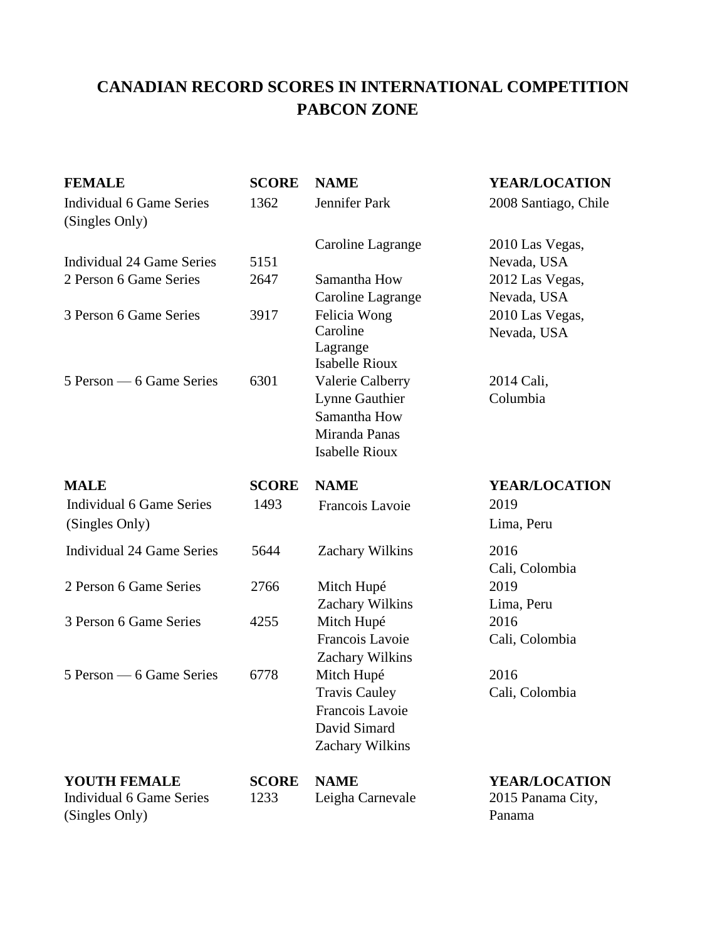| <b>FEMALE</b>                                                            | <b>SCORE</b>         | <b>NAME</b>                     | <b>YEAR/LOCATION</b>                      |
|--------------------------------------------------------------------------|----------------------|---------------------------------|-------------------------------------------|
| <b>Individual 6 Game Series</b><br>(Singles Only)                        | 1362                 | Jennifer Park                   | 2008 Santiago, Chile                      |
|                                                                          |                      | Caroline Lagrange               | 2010 Las Vegas,                           |
| Individual 24 Game Series                                                | 5151                 |                                 | Nevada, USA                               |
| 2 Person 6 Game Series                                                   | 2647                 | Samantha How                    | 2012 Las Vegas,                           |
|                                                                          |                      | Caroline Lagrange               | Nevada, USA                               |
| 3 Person 6 Game Series                                                   | 3917                 | Felicia Wong                    | 2010 Las Vegas,                           |
|                                                                          |                      | Caroline                        | Nevada, USA                               |
|                                                                          |                      | Lagrange                        |                                           |
|                                                                          |                      | <b>Isabelle Rioux</b>           |                                           |
| 5 Person — 6 Game Series                                                 | 6301                 | Valerie Calberry                | 2014 Cali,                                |
|                                                                          |                      | Lynne Gauthier                  | Columbia                                  |
|                                                                          |                      | Samantha How                    |                                           |
|                                                                          |                      | Miranda Panas                   |                                           |
|                                                                          |                      | <b>Isabelle Rioux</b>           |                                           |
| <b>MALE</b>                                                              | <b>SCORE</b>         | <b>NAME</b>                     | <b>YEAR/LOCATION</b>                      |
| <b>Individual 6 Game Series</b>                                          | 1493                 | Francois Lavoie                 | 2019                                      |
| (Singles Only)                                                           |                      |                                 | Lima, Peru                                |
| <b>Individual 24 Game Series</b>                                         | 5644                 | Zachary Wilkins                 | 2016                                      |
|                                                                          |                      |                                 | Cali, Colombia                            |
| 2 Person 6 Game Series                                                   | 2766                 | Mitch Hupé                      | 2019                                      |
|                                                                          |                      | Zachary Wilkins                 | Lima, Peru                                |
| 3 Person 6 Game Series                                                   | 4255                 | Mitch Hupé                      | 2016                                      |
|                                                                          |                      | Francois Lavoie                 | Cali, Colombia                            |
|                                                                          |                      | Zachary Wilkins                 |                                           |
| 5 Person — 6 Game Series                                                 | 6778                 | Mitch Hupé                      | 2016                                      |
|                                                                          |                      | <b>Travis Cauley</b>            | Cali, Colombia                            |
|                                                                          |                      | Francois Lavoie                 |                                           |
|                                                                          |                      | David Simard                    |                                           |
|                                                                          |                      | Zachary Wilkins                 |                                           |
|                                                                          |                      |                                 |                                           |
|                                                                          |                      |                                 |                                           |
|                                                                          |                      |                                 | Panama                                    |
| <b>YOUTH FEMALE</b><br><b>Individual 6 Game Series</b><br>(Singles Only) | <b>SCORE</b><br>1233 | <b>NAME</b><br>Leigha Carnevale | <b>YEAR/LOCATION</b><br>2015 Panama City, |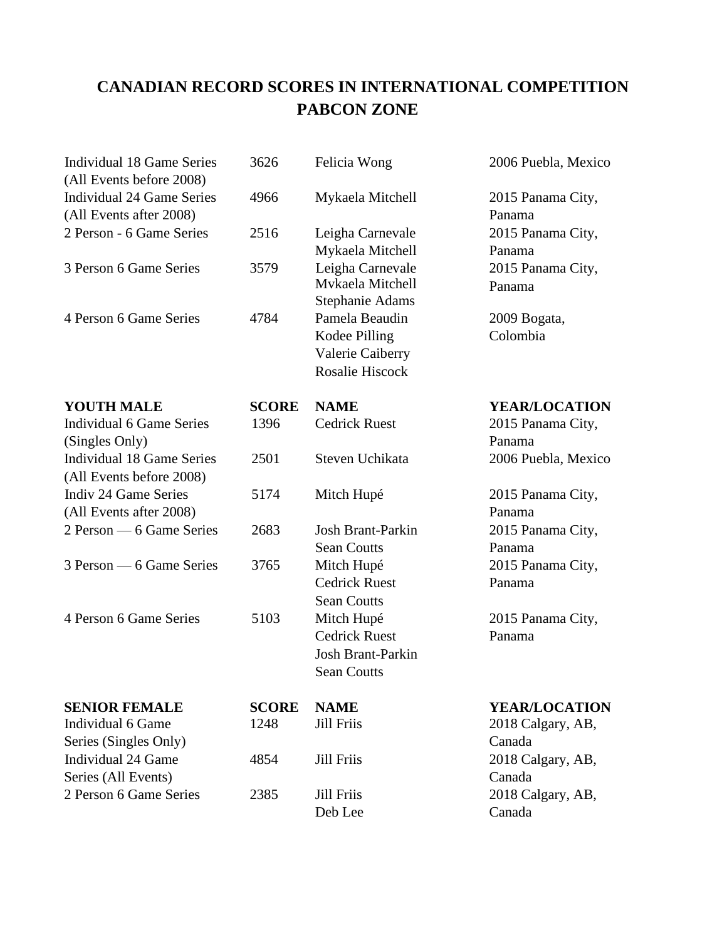| <b>Individual 18 Game Series</b><br>(All Events before 2008) | 3626         | Felicia Wong             | 2006 Puebla, Mexico  |
|--------------------------------------------------------------|--------------|--------------------------|----------------------|
| <b>Individual 24 Game Series</b>                             | 4966         | Mykaela Mitchell         | 2015 Panama City,    |
| (All Events after 2008)                                      |              |                          | Panama               |
| 2 Person - 6 Game Series                                     | 2516         | Leigha Carnevale         | 2015 Panama City,    |
|                                                              |              | Mykaela Mitchell         | Panama               |
| 3 Person 6 Game Series                                       | 3579         | Leigha Carnevale         | 2015 Panama City,    |
|                                                              |              | Mvkaela Mitchell         | Panama               |
|                                                              |              | <b>Stephanie Adams</b>   |                      |
| 4 Person 6 Game Series                                       | 4784         | Pamela Beaudin           | 2009 Bogata,         |
|                                                              |              | Kodee Pilling            | Colombia             |
|                                                              |              | Valerie Caiberry         |                      |
|                                                              |              | <b>Rosalie Hiscock</b>   |                      |
| <b>YOUTH MALE</b>                                            | <b>SCORE</b> | <b>NAME</b>              | <b>YEAR/LOCATION</b> |
| <b>Individual 6 Game Series</b>                              | 1396         | <b>Cedrick Ruest</b>     | 2015 Panama City,    |
| (Singles Only)                                               |              |                          | Panama               |
| <b>Individual 18 Game Series</b>                             | 2501         | Steven Uchikata          | 2006 Puebla, Mexico  |
| (All Events before 2008)                                     |              |                          |                      |
| <b>Indiv 24 Game Series</b>                                  | 5174         | Mitch Hupé               | 2015 Panama City,    |
| (All Events after 2008)                                      |              |                          | Panama               |
| 2 Person — 6 Game Series                                     | 2683         | <b>Josh Brant-Parkin</b> | 2015 Panama City,    |
|                                                              |              | <b>Sean Coutts</b>       | Panama               |
| 3 Person — 6 Game Series                                     | 3765         | Mitch Hupé               | 2015 Panama City,    |
|                                                              |              | <b>Cedrick Ruest</b>     | Panama               |
|                                                              |              | <b>Sean Coutts</b>       |                      |
| 4 Person 6 Game Series                                       | 5103         | Mitch Hupé               | 2015 Panama City,    |
|                                                              |              | <b>Cedrick Ruest</b>     | Panama               |
|                                                              |              | <b>Josh Brant-Parkin</b> |                      |
|                                                              |              | <b>Sean Coutts</b>       |                      |
| <b>SENIOR FEMALE</b>                                         | <b>SCORE</b> | <b>NAME</b>              | <b>YEAR/LOCATION</b> |
| Individual 6 Game                                            | 1248         | <b>Jill Friis</b>        | 2018 Calgary, AB,    |
| Series (Singles Only)                                        |              |                          | Canada               |
| <b>Individual 24 Game</b>                                    | 4854         | <b>Jill Friis</b>        | 2018 Calgary, AB,    |
| Series (All Events)                                          |              |                          | Canada               |
| 2 Person 6 Game Series                                       | 2385         | <b>Jill Friis</b>        | 2018 Calgary, AB,    |
|                                                              |              | Deb Lee                  | Canada               |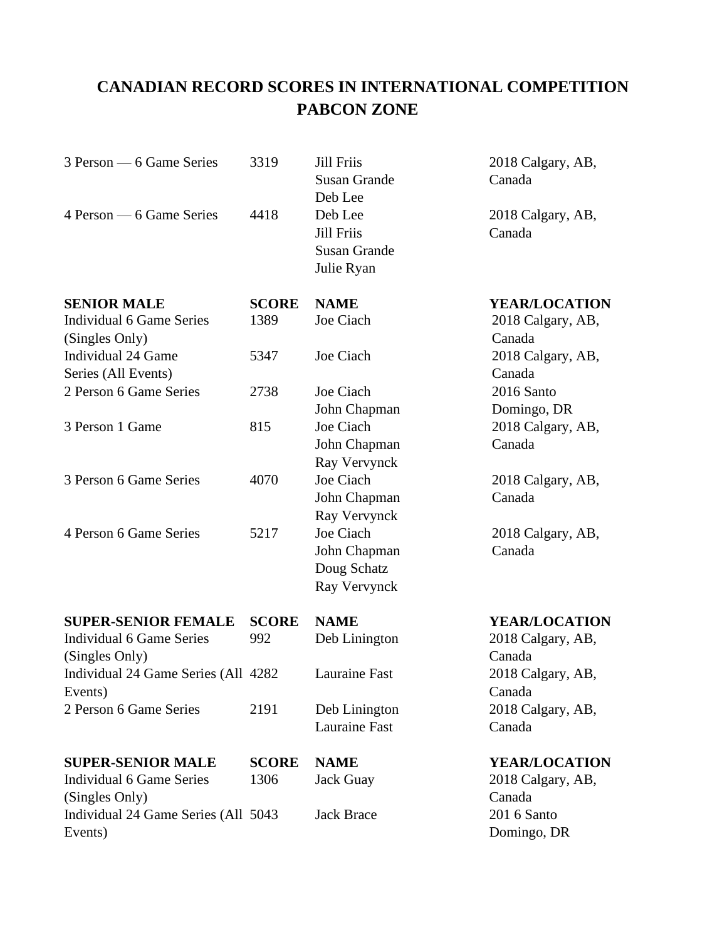| 3 Person — 6 Game Series                                                        | 3319                 | <b>Jill Friis</b><br><b>Susan Grande</b><br>Deb Lee               | 2018 Calgary, AB,<br>Canada                  |
|---------------------------------------------------------------------------------|----------------------|-------------------------------------------------------------------|----------------------------------------------|
| 4 Person — 6 Game Series                                                        | 4418                 | Deb Lee<br><b>Jill Friis</b><br><b>Susan Grande</b><br>Julie Ryan | 2018 Calgary, AB,<br>Canada                  |
| <b>SENIOR MALE</b>                                                              | <b>SCORE</b>         | <b>NAME</b>                                                       | <b>YEAR/LOCATION</b>                         |
| <b>Individual 6 Game Series</b><br>(Singles Only)                               | 1389                 | Joe Ciach                                                         | 2018 Calgary, AB,<br>Canada                  |
| <b>Individual 24 Game</b><br>Series (All Events)                                | 5347                 | Joe Ciach                                                         | 2018 Calgary, AB,<br>Canada                  |
| 2 Person 6 Game Series                                                          | 2738                 | Joe Ciach<br>John Chapman                                         | 2016 Santo<br>Domingo, DR                    |
| 3 Person 1 Game                                                                 | 815                  | Joe Ciach<br>John Chapman<br>Ray Vervynck                         | 2018 Calgary, AB,<br>Canada                  |
| 3 Person 6 Game Series                                                          | 4070                 | Joe Ciach<br>John Chapman<br>Ray Vervynck                         | 2018 Calgary, AB,<br>Canada                  |
| 4 Person 6 Game Series                                                          | 5217                 | Joe Ciach<br>John Chapman<br>Doug Schatz<br>Ray Vervynck          | 2018 Calgary, AB,<br>Canada                  |
| <b>SUPER-SENIOR FEMALE</b><br><b>Individual 6 Game Series</b><br>(Singles Only) | <b>SCORE</b><br>992  | <b>NAME</b><br>Deb Linington                                      | YEAR/LOCATION<br>2018 Calgary, AB,<br>Canada |
| Individual 24 Game Series (All 4282<br>Events)                                  |                      | Lauraine Fast                                                     | 2018 Calgary, AB,<br>Canada                  |
| 2 Person 6 Game Series                                                          | 2191                 | Deb Linington<br><b>Lauraine Fast</b>                             | 2018 Calgary, AB,<br>Canada                  |
| <b>SUPER-SENIOR MALE</b><br><b>Individual 6 Game Series</b><br>(Singles Only)   | <b>SCORE</b><br>1306 | <b>NAME</b><br><b>Jack Guay</b>                                   | YEAR/LOCATION<br>2018 Calgary, AB,<br>Canada |
| Individual 24 Game Series (All 5043<br>Events)                                  |                      | <b>Jack Brace</b>                                                 | 201 6 Santo<br>Domingo, DR                   |